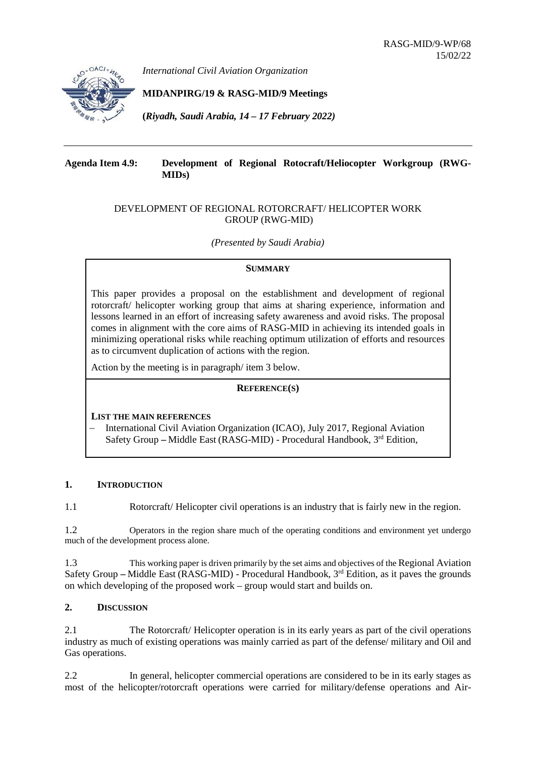

*International Civil Aviation Organization*

# **MIDANPIRG/19 & RASG-MID/9 Meetings**

**(***Riyadh, Saudi Arabia, 14 – 17 February 2022)*

## **Agenda Item 4.9: Development of Regional Rotocraft/Heliocopter Workgroup (RWG-MIDs)**

## DEVELOPMENT OF REGIONAL ROTORCRAFT/ HELICOPTER WORK GROUP (RWG-MID)

*(Presented by Saudi Arabia)*

### **SUMMARY**

This paper provides a proposal on the establishment and development of regional rotorcraft/ helicopter working group that aims at sharing experience, information and lessons learned in an effort of increasing safety awareness and avoid risks. The proposal comes in alignment with the core aims of RASG-MID in achieving its intended goals in minimizing operational risks while reaching optimum utilization of efforts and resources as to circumvent duplication of actions with the region.

Action by the meeting is in paragraph/ item 3 below.

## **REFERENCE(S)**

## **LIST THE MAIN REFERENCES**

− International Civil Aviation Organization (ICAO), July 2017, Regional Aviation Safety Group **–** Middle East (RASG-MID) - Procedural Handbook, 3rd Edition,

## **1. INTRODUCTION**

1.1 Rotorcraft/ Helicopter civil operations is an industry that is fairly new in the region.

1.2 Operators in the region share much of the operating conditions and environment yet undergo much of the development process alone.

1.3 This working paper is driven primarily by the set aims and objectives of the Regional Aviation Safety Group – Middle East (RASG-MID) - Procedural Handbook, 3<sup>rd</sup> Edition, as it paves the grounds on which developing of the proposed work – group would start and builds on.

## **2. DISCUSSION**

2.1 The Rotorcraft/ Helicopter operation is in its early years as part of the civil operations industry as much of existing operations was mainly carried as part of the defense/ military and Oil and Gas operations.

2.2 In general, helicopter commercial operations are considered to be in its early stages as most of the helicopter/rotorcraft operations were carried for military/defense operations and Air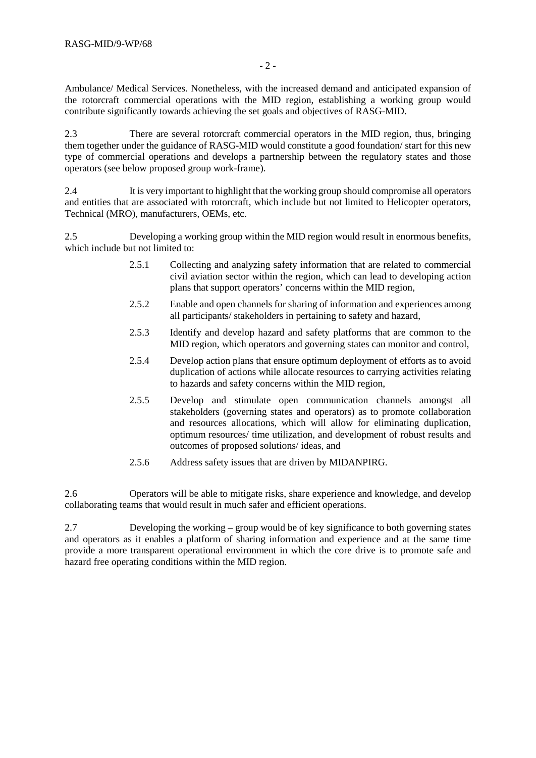Ambulance/ Medical Services. Nonetheless, with the increased demand and anticipated expansion of the rotorcraft commercial operations with the MID region, establishing a working group would contribute significantly towards achieving the set goals and objectives of RASG-MID.

2.3 There are several rotorcraft commercial operators in the MID region, thus, bringing them together under the guidance of RASG-MID would constitute a good foundation/ start for this new type of commercial operations and develops a partnership between the regulatory states and those operators (see below proposed group work-frame).

2.4 It is very important to highlight that the working group should compromise all operators and entities that are associated with rotorcraft, which include but not limited to Helicopter operators, Technical (MRO), manufacturers, OEMs, etc.

2.5 Developing a working group within the MID region would result in enormous benefits, which include but not limited to:

- 2.5.1 Collecting and analyzing safety information that are related to commercial civil aviation sector within the region, which can lead to developing action plans that support operators' concerns within the MID region,
- 2.5.2 Enable and open channels for sharing of information and experiences among all participants/ stakeholders in pertaining to safety and hazard,
- 2.5.3 Identify and develop hazard and safety platforms that are common to the MID region, which operators and governing states can monitor and control,
- 2.5.4 Develop action plans that ensure optimum deployment of efforts as to avoid duplication of actions while allocate resources to carrying activities relating to hazards and safety concerns within the MID region,
- 2.5.5 Develop and stimulate open communication channels amongst all stakeholders (governing states and operators) as to promote collaboration and resources allocations, which will allow for eliminating duplication, optimum resources/ time utilization, and development of robust results and outcomes of proposed solutions/ ideas, and
- 2.5.6 Address safety issues that are driven by MIDANPIRG.

2.6 Operators will be able to mitigate risks, share experience and knowledge, and develop collaborating teams that would result in much safer and efficient operations.

2.7 Developing the working – group would be of key significance to both governing states and operators as it enables a platform of sharing information and experience and at the same time provide a more transparent operational environment in which the core drive is to promote safe and hazard free operating conditions within the MID region.